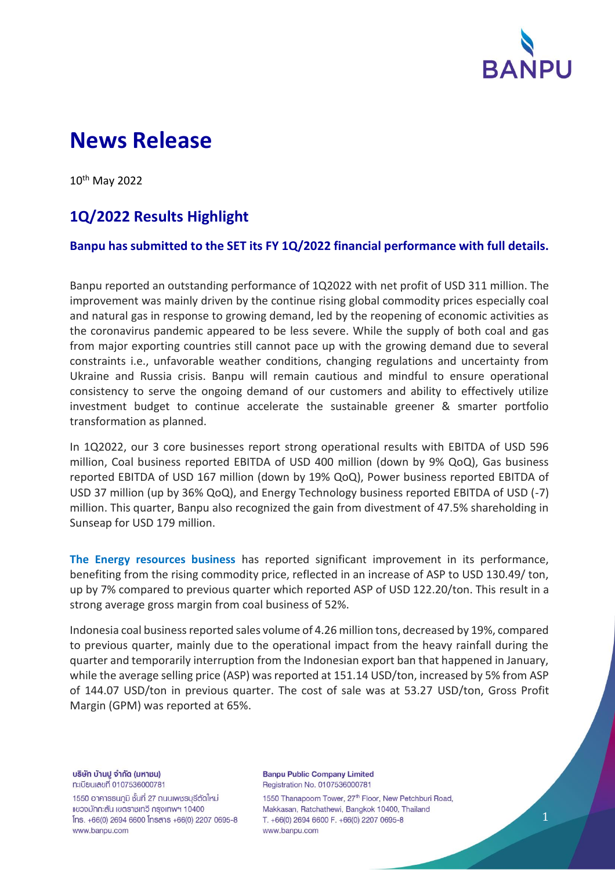

# **News Release**

10th May 2022

## **1Q/2022 Results Highlight**

#### **Banpu has submitted to the SET its FY 1Q/2022 financial performance with full details.**

Banpu reported an outstanding performance of 1Q2022 with net profit of USD 311 million. The improvement was mainly driven by the continue rising global commodity prices especially coal and natural gas in response to growing demand, led by the reopening of economic activities as the coronavirus pandemic appeared to be less severe. While the supply of both coal and gas from major exporting countries still cannot pace up with the growing demand due to several constraints i.e., unfavorable weather conditions, changing regulations and uncertainty from Ukraine and Russia crisis. Banpu will remain cautious and mindful to ensure operational consistency to serve the ongoing demand of our customers and ability to effectively utilize investment budget to continue accelerate the sustainable greener & smarter portfolio transformation as planned.

In 1Q2022, our 3 core businesses report strong operational results with EBITDA of USD 596 million, Coal business reported EBITDA of USD 400 million (down by 9% QoQ), Gas business reported EBITDA of USD 167 million (down by 19% QoQ), Power business reported EBITDA of USD 37 million (up by 36% QoQ), and Energy Technology business reported EBITDA of USD (-7) million. This quarter, Banpu also recognized the gain from divestment of 47.5% shareholding in Sunseap for USD 179 million.

**The Energy resources business** has reported significant improvement in its performance, benefiting from the rising commodity price, reflected in an increase of ASP to USD 130.49/ ton, up by 7% compared to previous quarter which reported ASP of USD 122.20/ton. This result in a strong average gross margin from coal business of 52%.

Indonesia coal business reported sales volume of 4.26 million tons, decreased by 19%, compared to previous quarter, mainly due to the operational impact from the heavy rainfall during the quarter and temporarily interruption from the Indonesian export ban that happened in January, while the average selling price (ASP) was reported at 151.14 USD/ton, increased by 5% from ASP of 144.07 USD/ton in previous quarter. The cost of sale was at 53.27 USD/ton, Gross Profit Margin (GPM) was reported at 65%.

บริษัท บ้านปู จำกัด (มหาชน) ทะเบียนเลขที่ 0107536000781

1550 อาคารธนกูมิ ชั้นที่ 27 ถนนเพชรบุรีตัดใหม่ แขวงมักกะสัน เขตราชเทวี กรุงเทพฯ 10400 lns. +66(0) 2694 6600 lnsans +66(0) 2207 0695-8 www.banpu.com

**Banpu Public Company Limited** Registration No. 0107536000781

1550 Thanapoom Tower, 27<sup>th</sup> Floor, New Petchburi Road, Makkasan, Ratchathewi, Bangkok 10400, Thailand T. +66(0) 2694 6600 F. +66(0) 2207 0695-8 www.banpu.com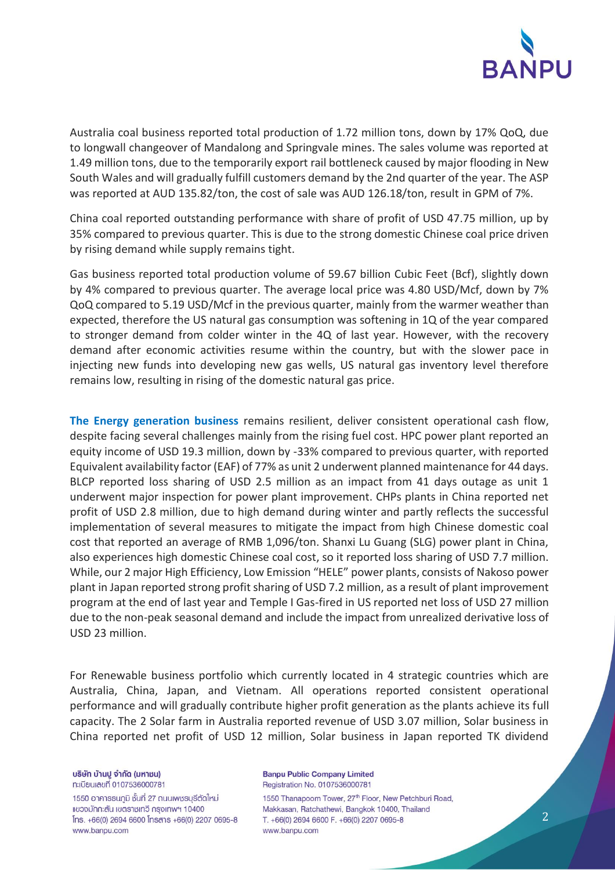

Australia coal business reported total production of 1.72 million tons, down by 17% QoQ, due to longwall changeover of Mandalong and Springvale mines. The sales volume was reported at 1.49 million tons, due to the temporarily export rail bottleneck caused by major flooding in New South Wales and will gradually fulfill customers demand by the 2nd quarter of the year. The ASP was reported at AUD 135.82/ton, the cost of sale was AUD 126.18/ton, result in GPM of 7%.

China coal reported outstanding performance with share of profit of USD 47.75 million, up by 35% compared to previous quarter. This is due to the strong domestic Chinese coal price driven by rising demand while supply remains tight.

Gas business reported total production volume of 59.67 billion Cubic Feet (Bcf), slightly down by 4% compared to previous quarter. The average local price was 4.80 USD/Mcf, down by 7% QoQ compared to 5.19 USD/Mcf in the previous quarter, mainly from the warmer weather than expected, therefore the US natural gas consumption was softening in 1Q of the year compared to stronger demand from colder winter in the 4Q of last year. However, with the recovery demand after economic activities resume within the country, but with the slower pace in injecting new funds into developing new gas wells, US natural gas inventory level therefore remains low, resulting in rising of the domestic natural gas price.

**The Energy generation business** remains resilient, deliver consistent operational cash flow, despite facing several challenges mainly from the rising fuel cost. HPC power plant reported an equity income of USD 19.3 million, down by -33% compared to previous quarter, with reported Equivalent availability factor (EAF) of 77% as unit 2 underwent planned maintenance for 44 days. BLCP reported loss sharing of USD 2.5 million as an impact from 41 days outage as unit 1 underwent major inspection for power plant improvement. CHPs plants in China reported net profit of USD 2.8 million, due to high demand during winter and partly reflects the successful implementation of several measures to mitigate the impact from high Chinese domestic coal cost that reported an average of RMB 1,096/ton. Shanxi Lu Guang (SLG) power plant in China, also experiences high domestic Chinese coal cost, so it reported loss sharing of USD 7.7 million. While, our 2 major High Efficiency, Low Emission "HELE" power plants, consists of Nakoso power plant in Japan reported strong profit sharing of USD 7.2 million, as a result of plant improvement program at the end of last year and Temple I Gas-fired in US reported net loss of USD 27 million due to the non-peak seasonal demand and include the impact from unrealized derivative loss of USD 23 million.

For Renewable business portfolio which currently located in 4 strategic countries which are Australia, China, Japan, and Vietnam. All operations reported consistent operational performance and will gradually contribute higher profit generation as the plants achieve its full capacity. The 2 Solar farm in Australia reported revenue of USD 3.07 million, Solar business in China reported net profit of USD 12 million, Solar business in Japan reported TK dividend

บริษัท บ้านปู จำกัด (มหาชน) ทะเบียนเลขที่ 0107536000781

1550 อาคารธนกูมิ ชั้นที่ 27 ถนนเพชรบุรีตัดใหม่ แขวงมักกะสัน เขตราชเทวี กรุงเทพฯ 10400 lns. +66(0) 2694 6600 lnsans +66(0) 2207 0695-8 www.banpu.com

**Banpu Public Company Limited** Registration No. 0107536000781

1550 Thanapoom Tower, 27<sup>th</sup> Floor, New Petchburi Road, Makkasan, Ratchathewi, Bangkok 10400, Thailand T. +66(0) 2694 6600 F. +66(0) 2207 0695-8 www.banpu.com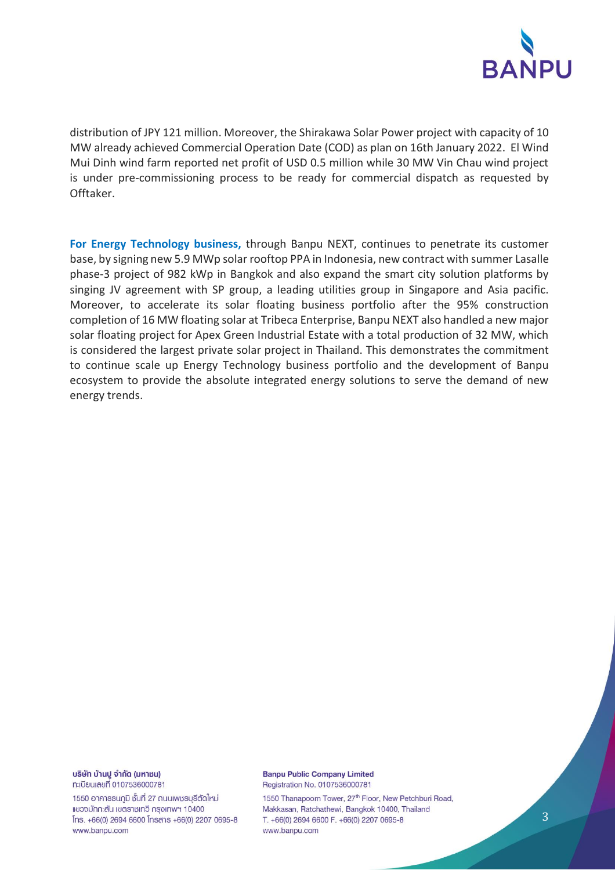

distribution of JPY 121 million. Moreover, the Shirakawa Solar Power project with capacity of 10 MW already achieved Commercial Operation Date (COD) as plan on 16th January 2022. El Wind Mui Dinh wind farm reported net profit of USD 0.5 million while 30 MW Vin Chau wind project is under pre-commissioning process to be ready for commercial dispatch as requested by Offtaker.

**For Energy Technology business,** through Banpu NEXT, continues to penetrate its customer base, by signing new 5.9 MWp solar rooftop PPA in Indonesia, new contract with summer Lasalle phase-3 project of 982 kWp in Bangkok and also expand the smart city solution platforms by singing JV agreement with SP group, a leading utilities group in Singapore and Asia pacific. Moreover, to accelerate its solar floating business portfolio after the 95% construction completion of 16 MW floating solar at Tribeca Enterprise, Banpu NEXT also handled a new major solar floating project for Apex Green Industrial Estate with a total production of 32 MW, which is considered the largest private solar project in Thailand. This demonstrates the commitment to continue scale up Energy Technology business portfolio and the development of Banpu ecosystem to provide the absolute integrated energy solutions to serve the demand of new energy trends.

บริษัท บ้านปู จำกัด (มหาชน) ทะเบียนเลขที่ 0107536000781

1550 อาคารธนกูมิ ชั้นที่ 27 ถนนเพชรบุรีตัดใหม่ แขวงมักกะสัน เขตราชเทวี กรุงเทพฯ 10400 Ins. +66(0) 2694 6600 Insans +66(0) 2207 0695-8 www.banpu.com

**Banpu Public Company Limited** Registration No. 0107536000781

1550 Thanapoom Tower, 27<sup>th</sup> Floor, New Petchburi Road, Makkasan, Ratchathewi, Bangkok 10400, Thailand T. +66(0) 2694 6600 F. +66(0) 2207 0695-8 www.banpu.com

3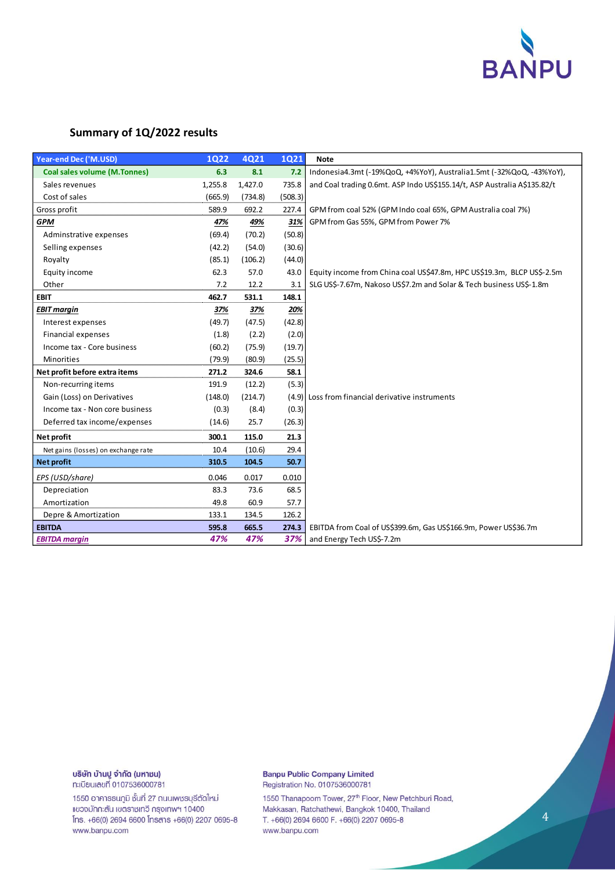

#### **Summary of 1Q/2022 results**

| <b>Year-end Dec ('M.USD)</b>        | <b>1Q22</b> | 4Q21    | <b>1Q21</b> | <b>Note</b>                                                              |
|-------------------------------------|-------------|---------|-------------|--------------------------------------------------------------------------|
| <b>Coal sales volume (M.Tonnes)</b> | 6.3         | 8.1     | 7.2         | Indonesia4.3mt (-19%QoQ, +4%YoY), Australia1.5mt (-32%QoQ, -43%YoY),     |
| Sales revenues                      | 1,255.8     | 1,427.0 | 735.8       | and Coal trading 0.6mt. ASP Indo US\$155.14/t, ASP Australia A\$135.82/t |
| Cost of sales                       | (665.9)     | (734.8) | (508.3)     |                                                                          |
| Gross profit                        | 589.9       | 692.2   | 227.4       | GPM from coal 52% (GPM Indo coal 65%, GPM Australia coal 7%)             |
| <b>GPM</b>                          | 47%         | 49%     | 31%         | GPM from Gas 55%, GPM from Power 7%                                      |
| Adminstrative expenses              | (69.4)      | (70.2)  | (50.8)      |                                                                          |
| Selling expenses                    | (42.2)      | (54.0)  | (30.6)      |                                                                          |
| Royalty                             | (85.1)      | (106.2) | (44.0)      |                                                                          |
| Equity income                       | 62.3        | 57.0    | 43.0        | Equity income from China coal US\$47.8m, HPC US\$19.3m, BLCP US\$-2.5m   |
| Other                               | 7.2         | 12.2    | 3.1         | SLG US\$-7.67m, Nakoso US\$7.2m and Solar & Tech business US\$-1.8m      |
| <b>EBIT</b>                         | 462.7       | 531.1   | 148.1       |                                                                          |
| <b>EBIT margin</b>                  | 37%         | 37%     | 20%         |                                                                          |
| Interest expenses                   | (49.7)      | (47.5)  | (42.8)      |                                                                          |
| <b>Financial expenses</b>           | (1.8)       | (2.2)   | (2.0)       |                                                                          |
| Income tax - Core business          | (60.2)      | (75.9)  | (19.7)      |                                                                          |
| <b>Minorities</b>                   | (79.9)      | (80.9)  | (25.5)      |                                                                          |
| Net profit before extra items       | 271.2       | 324.6   | 58.1        |                                                                          |
| Non-recurring items                 | 191.9       | (12.2)  | (5.3)       |                                                                          |
| Gain (Loss) on Derivatives          | (148.0)     | (214.7) | (4.9)       | Loss from financial derivative instruments                               |
| Income tax - Non core business      | (0.3)       | (8.4)   | (0.3)       |                                                                          |
| Deferred tax income/expenses        | (14.6)      | 25.7    | (26.3)      |                                                                          |
| Net profit                          | 300.1       | 115.0   | 21.3        |                                                                          |
| Net gains (losses) on exchange rate | 10.4        | (10.6)  | 29.4        |                                                                          |
| <b>Net profit</b>                   | 310.5       | 104.5   | 50.7        |                                                                          |
| EPS (USD/share)                     | 0.046       | 0.017   | 0.010       |                                                                          |
| Depreciation                        | 83.3        | 73.6    | 68.5        |                                                                          |
| Amortization                        | 49.8        | 60.9    | 57.7        |                                                                          |
| Depre & Amortization                | 133.1       | 134.5   | 126.2       |                                                                          |
| <b>EBITDA</b>                       | 595.8       | 665.5   | 274.3       | EBITDA from Coal of US\$399.6m, Gas US\$166.9m, Power US\$36.7m          |
| <b>EBITDA</b> margin                | 47%         | 47%     | 37%         | and Energy Tech US\$-7.2m                                                |

### บริษัท บ้านปู จำกัด (มหาชน)

ทะเบียนเลขที่ 0107536000781

1550 อาคารธนภูมิ ชั้นที่ 27 ถนนเพชรบุรีตัดใหม่ แขวงมักกะสัน เขตราชเทวี กรุงเทพฯ 10400 Ins. +66(0) 2694 6600 Insans +66(0) 2207 0695-8 www.banpu.com

#### **Banpu Public Company Limited** Registration No. 0107536000781

1550 Thanapoom Tower, 27<sup>th</sup> Floor, New Petchburi Road, Makkasan, Ratchathewi, Bangkok 10400, Thailand T. +66(0) 2694 6600 F. +66(0) 2207 0695-8 www.banpu.com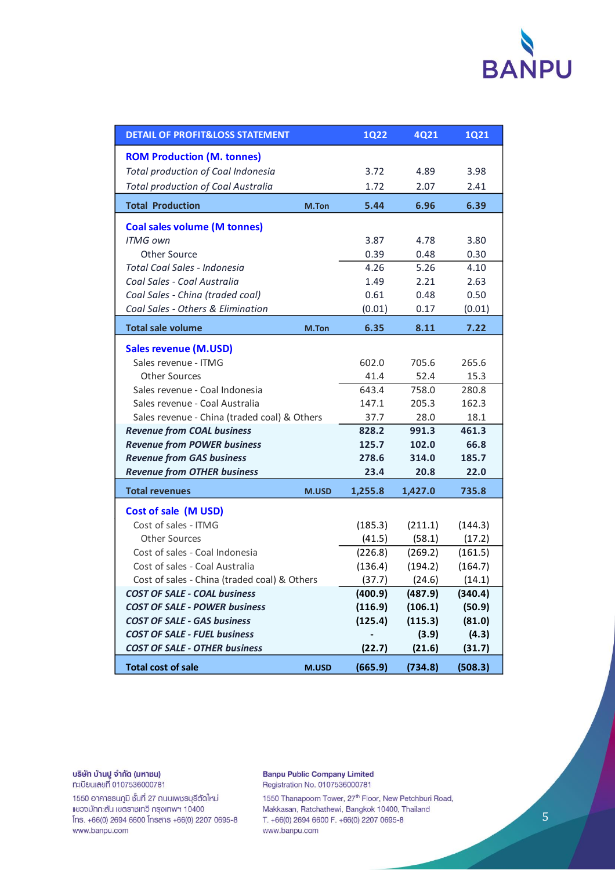

| <b>DETAIL OF PROFIT&amp;LOSS STATEMENT</b>   | <b>1Q22</b> | <b>4Q21</b> | <b>1Q21</b> |         |
|----------------------------------------------|-------------|-------------|-------------|---------|
| <b>ROM Production (M. tonnes)</b>            |             |             |             |         |
| Total production of Coal Indonesia           |             | 3.72        | 4.89        | 3.98    |
| <b>Total production of Coal Australia</b>    |             | 1.72        | 2.07        | 2.41    |
| <b>Total Production</b>                      | M.Ton       | 5.44        | 6.96        | 6.39    |
| <b>Coal sales volume (M tonnes)</b>          |             |             |             |         |
| <b>ITMG own</b>                              |             | 3.87        | 4.78        | 3.80    |
| Other Source                                 |             | 0.39        | 0.48        | 0.30    |
| Total Coal Sales - Indonesia                 |             | 4.26        | 5.26        | 4.10    |
| Coal Sales - Coal Australia                  |             | 1.49        | 2.21        | 2.63    |
| Coal Sales - China (traded coal)             |             | 0.61        | 0.48        | 0.50    |
| Coal Sales - Others & Elimination            |             | (0.01)      | 0.17        | (0.01)  |
| <b>Total sale volume</b>                     | M.Ton       | 6.35        | 8.11        | 7.22    |
| <b>Sales revenue (M.USD)</b>                 |             |             |             |         |
| Sales revenue - ITMG                         |             | 602.0       | 705.6       | 265.6   |
| <b>Other Sources</b>                         |             | 41.4        | 52.4        | 15.3    |
| Sales revenue - Coal Indonesia               |             | 643.4       | 758.0       | 280.8   |
| Sales revenue - Coal Australia               |             | 147.1       | 205.3       | 162.3   |
| Sales revenue - China (traded coal) & Others |             | 37.7        | 28.0        | 18.1    |
| <b>Revenue from COAL business</b>            |             | 828.2       | 991.3       | 461.3   |
| <b>Revenue from POWER business</b>           |             | 125.7       | 102.0       | 66.8    |
| <b>Revenue from GAS business</b>             |             | 278.6       | 314.0       | 185.7   |
| <b>Revenue from OTHER business</b>           |             | 23.4        | 20.8        | 22.0    |
| <b>Total revenues</b>                        | M.USD       | 1,255.8     | 1,427.0     | 735.8   |
| Cost of sale (M USD)                         |             |             |             |         |
| Cost of sales - ITMG                         |             | (185.3)     | (211.1)     | (144.3) |
| <b>Other Sources</b>                         |             | (41.5)      | (58.1)      | (17.2)  |
| Cost of sales - Coal Indonesia               |             | (226.8)     | (269.2)     | (161.5) |
| Cost of sales - Coal Australia               |             | (136.4)     | (194.2)     | (164.7) |
| Cost of sales - China (traded coal) & Others |             | (37.7)      | (24.6)      | (14.1)  |
| <b>COST OF SALE - COAL business</b>          |             | (400.9)     | (487.9)     | (340.4) |
| <b>COST OF SALE - POWER business</b>         |             | (116.9)     | (106.1)     | (50.9)  |
| <b>COST OF SALE - GAS business</b>           |             | (125.4)     | (115.3)     | (81.0)  |
| <b>COST OF SALE - FUEL business</b>          |             |             | (3.9)       | (4.3)   |
| <b>COST OF SALE - OTHER business</b>         |             | (22.7)      | (21.6)      | (31.7)  |
| <b>Total cost of sale</b>                    | M.USD       | (665.9)     | (734.8)     | (508.3) |

บริษัท บ้านปู จำกัด (มหาชน) ทะเบียนเลขที่ 0107536000781

1550 อาคารธนภูมิ ชั้นที่ 27 ถนนเพชรบุรีตัดใหม่ แขวงมักกะสัน เขตราชเทวี กรุงเทพฯ 10400 Ins. +66(0) 2694 6600 Insans +66(0) 2207 0695-8 www.banpu.com

**Banpu Public Company Limited** Registration No. 0107536000781

1550 Thanapoom Tower, 27<sup>th</sup> Floor, New Petchburi Road, Makkasan, Ratchathewi, Bangkok 10400, Thailand T. +66(0) 2694 6600 F. +66(0) 2207 0695-8 www.banpu.com

 $\overline{5}$